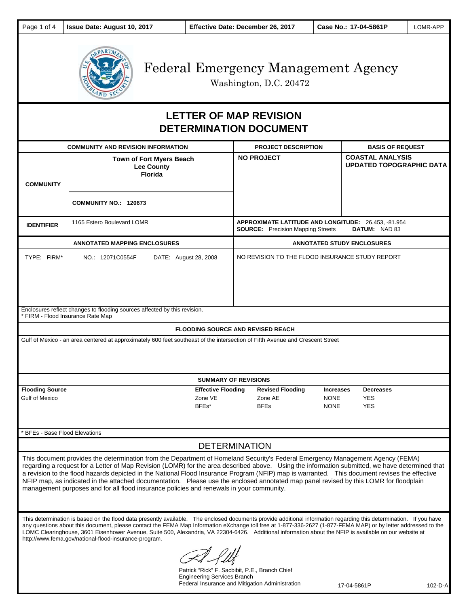

Washington, D.C. 20472

# **LETTER OF MAP REVISION DETERMINATION DOCUMENT**

| <b>COMMUNITY AND REVISION INFORMATION</b>                                                                                                                                                                                                                                                                                                                                                                                                                                                                                                                                                                                                                              |                                                                                                                                                                                                                                                                                                                                                                                                                                                                                                                                                         |                   | <b>PROJECT DESCRIPTION</b>                                                                                       | <b>BASIS OF REQUEST</b>                                    |  |
|------------------------------------------------------------------------------------------------------------------------------------------------------------------------------------------------------------------------------------------------------------------------------------------------------------------------------------------------------------------------------------------------------------------------------------------------------------------------------------------------------------------------------------------------------------------------------------------------------------------------------------------------------------------------|---------------------------------------------------------------------------------------------------------------------------------------------------------------------------------------------------------------------------------------------------------------------------------------------------------------------------------------------------------------------------------------------------------------------------------------------------------------------------------------------------------------------------------------------------------|-------------------|------------------------------------------------------------------------------------------------------------------|------------------------------------------------------------|--|
| <b>COMMUNITY</b>                                                                                                                                                                                                                                                                                                                                                                                                                                                                                                                                                                                                                                                       | <b>Town of Fort Myers Beach</b><br><b>Lee County</b><br><b>Florida</b>                                                                                                                                                                                                                                                                                                                                                                                                                                                                                  | <b>NO PROJECT</b> |                                                                                                                  | <b>COASTAL ANALYSIS</b><br><b>UPDATED TOPOGRAPHIC DATA</b> |  |
|                                                                                                                                                                                                                                                                                                                                                                                                                                                                                                                                                                                                                                                                        | <b>COMMUNITY NO.: 120673</b>                                                                                                                                                                                                                                                                                                                                                                                                                                                                                                                            |                   |                                                                                                                  |                                                            |  |
| <b>IDENTIFIER</b>                                                                                                                                                                                                                                                                                                                                                                                                                                                                                                                                                                                                                                                      | 1165 Estero Boulevard LOMR                                                                                                                                                                                                                                                                                                                                                                                                                                                                                                                              |                   | APPROXIMATE LATITUDE AND LONGITUDE: 26.453, -81.954<br><b>SOURCE:</b> Precision Mapping Streets<br>DATUM: NAD 83 |                                                            |  |
| <b>ANNOTATED MAPPING ENCLOSURES</b>                                                                                                                                                                                                                                                                                                                                                                                                                                                                                                                                                                                                                                    |                                                                                                                                                                                                                                                                                                                                                                                                                                                                                                                                                         |                   | <b>ANNOTATED STUDY ENCLOSURES</b>                                                                                |                                                            |  |
| TYPE: FIRM*                                                                                                                                                                                                                                                                                                                                                                                                                                                                                                                                                                                                                                                            | NO.: 12071C0554F<br>DATE: August 28, 2008                                                                                                                                                                                                                                                                                                                                                                                                                                                                                                               |                   | NO REVISION TO THE FLOOD INSURANCE STUDY REPORT                                                                  |                                                            |  |
| Enclosures reflect changes to flooding sources affected by this revision.<br>* FIRM - Flood Insurance Rate Map                                                                                                                                                                                                                                                                                                                                                                                                                                                                                                                                                         |                                                                                                                                                                                                                                                                                                                                                                                                                                                                                                                                                         |                   |                                                                                                                  |                                                            |  |
| <b>FLOODING SOURCE AND REVISED REACH</b>                                                                                                                                                                                                                                                                                                                                                                                                                                                                                                                                                                                                                               |                                                                                                                                                                                                                                                                                                                                                                                                                                                                                                                                                         |                   |                                                                                                                  |                                                            |  |
| Gulf of Mexico - an area centered at approximately 600 feet southeast of the intersection of Fifth Avenue and Crescent Street                                                                                                                                                                                                                                                                                                                                                                                                                                                                                                                                          |                                                                                                                                                                                                                                                                                                                                                                                                                                                                                                                                                         |                   |                                                                                                                  |                                                            |  |
| <b>SUMMARY OF REVISIONS</b>                                                                                                                                                                                                                                                                                                                                                                                                                                                                                                                                                                                                                                            |                                                                                                                                                                                                                                                                                                                                                                                                                                                                                                                                                         |                   |                                                                                                                  |                                                            |  |
| <b>Flooding Source</b><br><b>Effective Flooding</b><br>Gulf of Mexico<br>Zone VE<br>BFEs*                                                                                                                                                                                                                                                                                                                                                                                                                                                                                                                                                                              |                                                                                                                                                                                                                                                                                                                                                                                                                                                                                                                                                         | <b>BFEs</b>       | <b>Revised Flooding</b><br><b>Increases</b><br>Zone AE<br><b>NONE</b><br><b>NONE</b>                             | <b>Decreases</b><br><b>YES</b><br><b>YES</b>               |  |
| BFEs - Base Flood Elevations                                                                                                                                                                                                                                                                                                                                                                                                                                                                                                                                                                                                                                           |                                                                                                                                                                                                                                                                                                                                                                                                                                                                                                                                                         |                   |                                                                                                                  |                                                            |  |
| <b>DETERMINATION</b>                                                                                                                                                                                                                                                                                                                                                                                                                                                                                                                                                                                                                                                   |                                                                                                                                                                                                                                                                                                                                                                                                                                                                                                                                                         |                   |                                                                                                                  |                                                            |  |
| This document provides the determination from the Department of Homeland Security's Federal Emergency Management Agency (FEMA)<br>regarding a request for a Letter of Map Revision (LOMR) for the area described above. Using the information submitted, we have determined that<br>a revision to the flood hazards depicted in the National Flood Insurance Program (NFIP) map is warranted. This document revises the effective<br>NFIP map, as indicated in the attached documentation. Please use the enclosed annotated map panel revised by this LOMR for floodplain<br>management purposes and for all flood insurance policies and renewals in your community. |                                                                                                                                                                                                                                                                                                                                                                                                                                                                                                                                                         |                   |                                                                                                                  |                                                            |  |
|                                                                                                                                                                                                                                                                                                                                                                                                                                                                                                                                                                                                                                                                        | This determination is based on the flood data presently available. The enclosed documents provide additional information regarding this determination. If you have<br>any questions about this document, please contact the FEMA Map Information eXchange toll free at 1-877-336-2627 (1-877-FEMA MAP) or by letter addressed to the<br>LOMC Clearinghouse, 3601 Eisenhower Avenue, Suite 500, Alexandria, VA 22304-6426. Additional information about the NFIP is available on our website at<br>http://www.fema.gov/national-flood-insurance-program. |                   |                                                                                                                  |                                                            |  |

Patrick "Rick" F. Sacbibit, P.E., Branch Chief Engineering Services Branch Federal Insurance and Mitigation Administration

17-04-5861P 102-D-A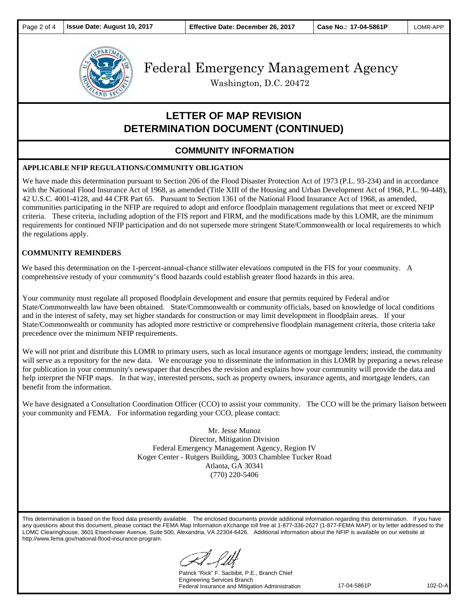

Washington, D.C. 20472

## **LETTER OF MAP REVISION DETERMINATION DOCUMENT (CONTINUED)**

### **COMMUNITY INFORMATION**

#### **APPLICABLE NFIP REGULATIONS/COMMUNITY OBLIGATION**

We have made this determination pursuant to Section 206 of the Flood Disaster Protection Act of 1973 (P.L. 93-234) and in accordance with the National Flood Insurance Act of 1968, as amended (Title XIII of the Housing and Urban Development Act of 1968, P.L. 90-448), 42 U.S.C. 4001-4128, and 44 CFR Part 65. Pursuant to Section 1361 of the National Flood Insurance Act of 1968, as amended, communities participating in the NFIP are required to adopt and enforce floodplain management regulations that meet or exceed NFIP criteria. These criteria, including adoption of the FIS report and FIRM, and the modifications made by this LOMR, are the minimum requirements for continued NFIP participation and do not supersede more stringent State/Commonwealth or local requirements to which the regulations apply.

#### **COMMUNITY REMINDERS**

We based this determination on the 1-percent-annual-chance stillwater elevations computed in the FIS for your community. A comprehensive restudy of your community's flood hazards could establish greater flood hazards in this area.

Your community must regulate all proposed floodplain development and ensure that permits required by Federal and/or State/Commonwealth law have been obtained. State/Commonwealth or community officials, based on knowledge of local conditions and in the interest of safety, may set higher standards for construction or may limit development in floodplain areas. If your State/Commonwealth or community has adopted more restrictive or comprehensive floodplain management criteria, those criteria take precedence over the minimum NFIP requirements.

We will not print and distribute this LOMR to primary users, such as local insurance agents or mortgage lenders; instead, the community will serve as a repository for the new data. We encourage you to disseminate the information in this LOMR by preparing a news release for publication in your community's newspaper that describes the revision and explains how your community will provide the data and help interpret the NFIP maps. In that way, interested persons, such as property owners, insurance agents, and mortgage lenders, can benefit from the information.

We have designated a Consultation Coordination Officer (CCO) to assist your community. The CCO will be the primary liaison between your community and FEMA. For information regarding your CCO, please contact:

> Mr. Jesse Munoz Director, Mitigation Division Federal Emergency Management Agency, Region IV Koger Center - Rutgers Building, 3003 Chamblee Tucker Road Atlanta, GA 30341 (770) 220-5406

This determination is based on the flood data presently available. The enclosed documents provide additional information regarding this determination. If you have any questions about this document, please contact the FEMA Map Information eXchange toll free at 1-877-336-2627 (1-877-FEMA MAP) or by letter addressed to the LOMC Clearinghouse, 3601 Eisenhower Avenue, Suite 500, Alexandria, VA 22304-6426. Additional information about the NFIP is available on our website at http://www.fema.gov/national-flood-insurance-program.

Patrick "Rick" F. Sacbibit, P.E., Branch Chief Engineering Services Branch Federal Insurance and Mitigation Administration

17-04-5861P 102-D-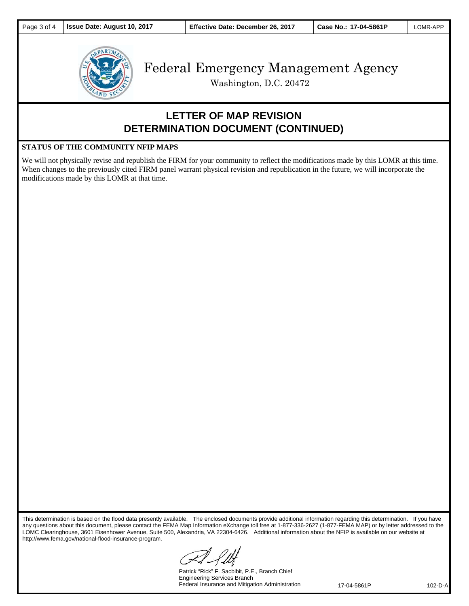

Washington, D.C. 20472

### **LETTER OF MAP REVISION DETERMINATION DOCUMENT (CONTINUED)**

#### **STATUS OF THE COMMUNITY NFIP MAPS**

We will not physically revise and republish the FIRM for your community to reflect the modifications made by this LOMR at this time. When changes to the previously cited FIRM panel warrant physical revision and republication in the future, we will incorporate the modifications made by this LOMR at that time.

This determination is based on the flood data presently available. The enclosed documents provide additional information regarding this determination. If you have any questions about this document, please contact the FEMA Map Information eXchange toll free at 1-877-336-2627 (1-877-FEMA MAP) or by letter addressed to the LOMC Clearinghouse, 3601 Eisenhower Avenue, Suite 500, Alexandria, VA 22304-6426. Additional information about the NFIP is available on our website at http://www.fema.gov/national-flood-insurance-program.

Patrick "Rick" F. Sacbibit, P.E., Branch Chief Engineering Services Branch Federal Insurance and Mitigation Administration

17-04-5861P 102-D-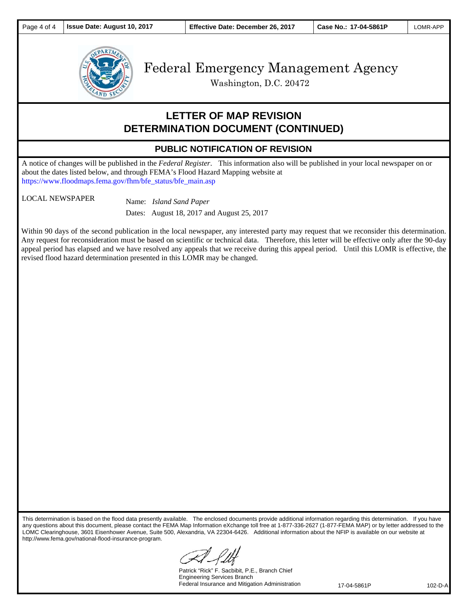

Washington, D.C. 20472

### **LETTER OF MAP REVISION DETERMINATION DOCUMENT (CONTINUED)**

### **PUBLIC NOTIFICATION OF REVISION**

A notice of changes will be published in the *Federal Register*. This information also will be published in your local newspaper on or about the dates listed below, and through FEMA's Flood Hazard Mapping website at https://www.floodmaps.fema.gov/fhm/bfe\_status/bfe\_main.asp

LOCAL NEWSPAPER Name: *Island Sand Paper* 

Dates: August 18, 2017 and August 25, 2017

Within 90 days of the second publication in the local newspaper, any interested party may request that we reconsider this determination. Any request for reconsideration must be based on scientific or technical data. Therefore, this letter will be effective only after the 90-day appeal period has elapsed and we have resolved any appeals that we receive during this appeal period. Until this LOMR is effective, the revised flood hazard determination presented in this LOMR may be changed.

This determination is based on the flood data presently available. The enclosed documents provide additional information regarding this determination. If you have any questions about this document, please contact the FEMA Map Information eXchange toll free at 1-877-336-2627 (1-877-FEMA MAP) or by letter addressed to the LOMC Clearinghouse, 3601 Eisenhower Avenue, Suite 500, Alexandria, VA 22304-6426. Additional information about the NFIP is available on our website at http://www.fema.gov/national-flood-insurance-program.

Patrick "Rick" F. Sacbibit, P.E., Branch Chief Engineering Services Branch Federal Insurance and Mitigation Administration

17-04-5861P 102-D-